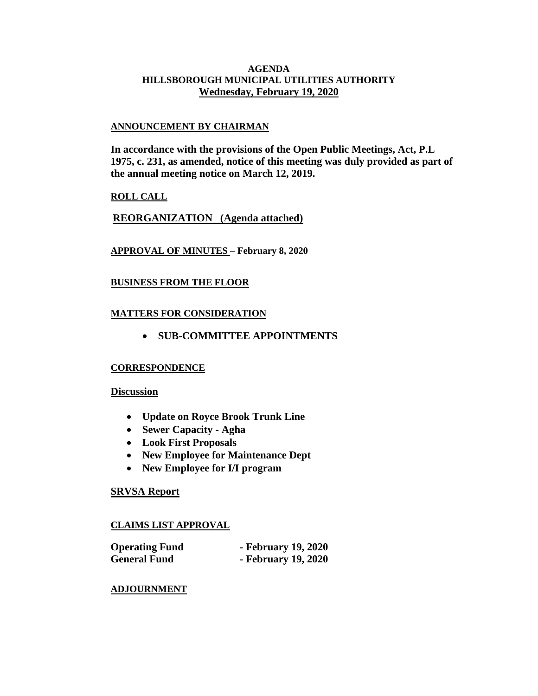#### **AGENDA HILLSBOROUGH MUNICIPAL UTILITIES AUTHORITY Wednesday, February 19, 2020**

#### **ANNOUNCEMENT BY CHAIRMAN**

**In accordance with the provisions of the Open Public Meetings, Act, P.L 1975, c. 231, as amended, notice of this meeting was duly provided as part of the annual meeting notice on March 12, 2019.**

## **ROLL CALL**

**REORGANIZATION (Agenda attached)**

## **APPROVAL OF MINUTES – February 8, 2020**

## **BUSINESS FROM THE FLOOR**

## **MATTERS FOR CONSIDERATION**

• **SUB-COMMITTEE APPOINTMENTS**

## **CORRESPONDENCE**

## **Discussion**

- **Update on Royce Brook Trunk Line**
- **Sewer Capacity - Agha**
- **Look First Proposals**
- **New Employee for Maintenance Dept**
- **New Employee for I/I program**

## **SRVSA Report**

## **CLAIMS LIST APPROVAL**

| <b>Operating Fund</b> | - February 19, 2020 |
|-----------------------|---------------------|
| <b>General Fund</b>   | - February 19, 2020 |

## **ADJOURNMENT**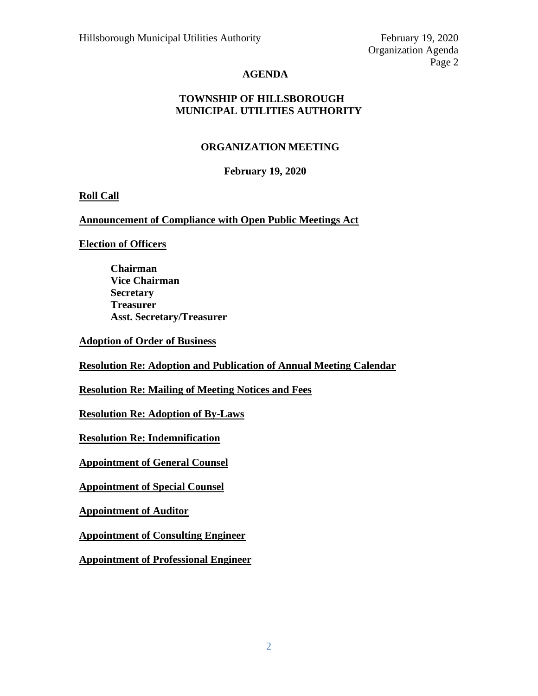Organization Agenda Page 2

# **AGENDA**

# **TOWNSHIP OF HILLSBOROUGH MUNICIPAL UTILITIES AUTHORITY**

# **ORGANIZATION MEETING**

# **February 19, 2020**

# **Roll Call**

## **Announcement of Compliance with Open Public Meetings Act**

# **Election of Officers**

**Chairman Vice Chairman Secretary Treasurer Asst. Secretary/Treasurer**

**Adoption of Order of Business**

**Resolution Re: Adoption and Publication of Annual Meeting Calendar**

**Resolution Re: Mailing of Meeting Notices and Fees**

**Resolution Re: Adoption of By-Laws**

**Resolution Re: Indemnification**

**Appointment of General Counsel**

**Appointment of Special Counsel**

**Appointment of Auditor**

**Appointment of Consulting Engineer**

**Appointment of Professional Engineer**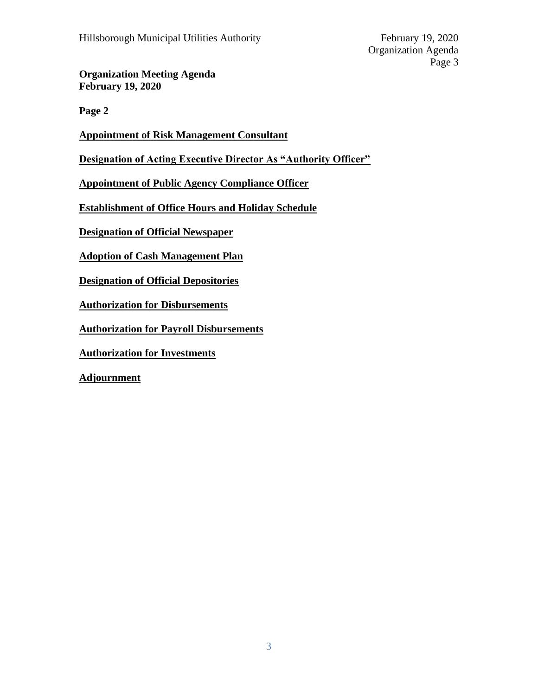**Organization Meeting Agenda February 19, 2020**

**Page 2**

**Appointment of Risk Management Consultant**

**Designation of Acting Executive Director As "Authority Officer"**

**Appointment of Public Agency Compliance Officer**

**Establishment of Office Hours and Holiday Schedule**

**Designation of Official Newspaper**

**Adoption of Cash Management Plan**

**Designation of Official Depositories**

**Authorization for Disbursements**

**Authorization for Payroll Disbursements**

**Authorization for Investments**

**Adjournment**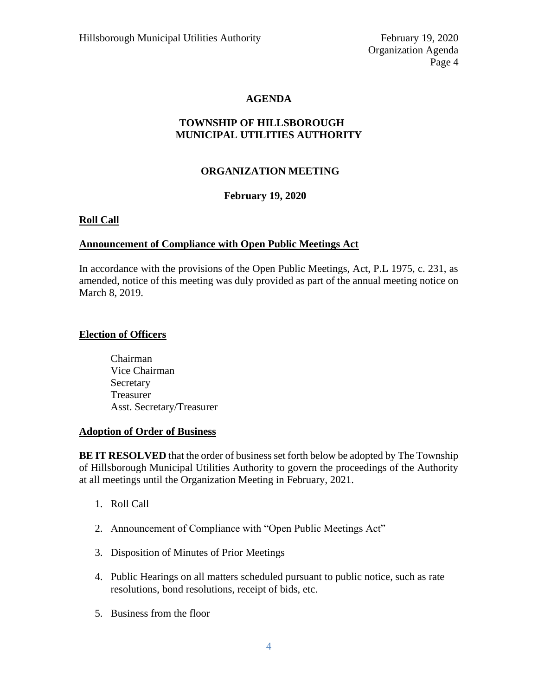## **AGENDA**

# **TOWNSHIP OF HILLSBOROUGH MUNICIPAL UTILITIES AUTHORITY**

## **ORGANIZATION MEETING**

### **February 19, 2020**

## **Roll Call**

### **Announcement of Compliance with Open Public Meetings Act**

In accordance with the provisions of the Open Public Meetings, Act, P.L 1975, c. 231, as amended, notice of this meeting was duly provided as part of the annual meeting notice on March 8, 2019.

### **Election of Officers**

Chairman Vice Chairman Secretary Treasurer Asst. Secretary/Treasurer

#### **Adoption of Order of Business**

**BE IT RESOLVED** that the order of business set forth below be adopted by The Township of Hillsborough Municipal Utilities Authority to govern the proceedings of the Authority at all meetings until the Organization Meeting in February, 2021.

- 1. Roll Call
- 2. Announcement of Compliance with "Open Public Meetings Act"
- 3. Disposition of Minutes of Prior Meetings
- 4. Public Hearings on all matters scheduled pursuant to public notice, such as rate resolutions, bond resolutions, receipt of bids, etc.
- 5. Business from the floor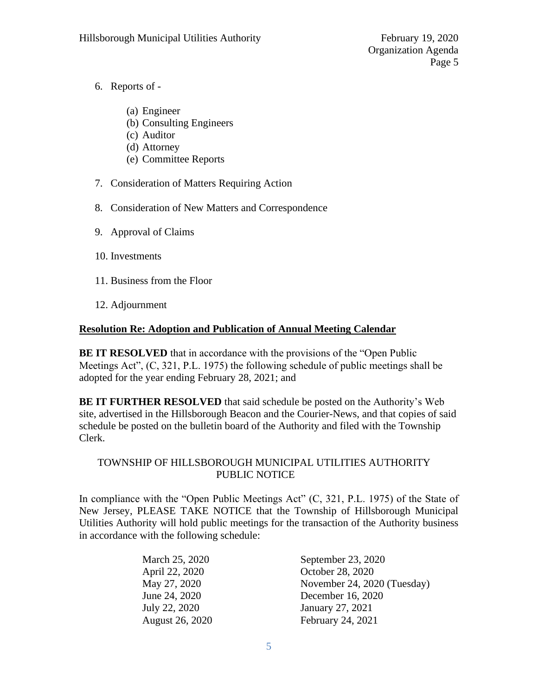- 6. Reports of
	- (a) Engineer
	- (b) Consulting Engineers
	- (c) Auditor
	- (d) Attorney
	- (e) Committee Reports
- 7. Consideration of Matters Requiring Action
- 8. Consideration of New Matters and Correspondence
- 9. Approval of Claims
- 10. Investments
- 11. Business from the Floor
- 12. Adjournment

# **Resolution Re: Adoption and Publication of Annual Meeting Calendar**

**BE IT RESOLVED** that in accordance with the provisions of the "Open Public" Meetings Act", (C, 321, P.L. 1975) the following schedule of public meetings shall be adopted for the year ending February 28, 2021; and

**BE IT FURTHER RESOLVED** that said schedule be posted on the Authority's Web site, advertised in the Hillsborough Beacon and the Courier-News, and that copies of said schedule be posted on the bulletin board of the Authority and filed with the Township Clerk.

# TOWNSHIP OF HILLSBOROUGH MUNICIPAL UTILITIES AUTHORITY PUBLIC NOTICE

In compliance with the "Open Public Meetings Act" (C, 321, P.L. 1975) of the State of New Jersey, PLEASE TAKE NOTICE that the Township of Hillsborough Municipal Utilities Authority will hold public meetings for the transaction of the Authority business in accordance with the following schedule:

| March 25, 2020  | September 23, 2020          |
|-----------------|-----------------------------|
| April 22, 2020  | October 28, 2020            |
| May 27, 2020    | November 24, 2020 (Tuesday) |
| June 24, 2020   | December 16, 2020           |
| July 22, 2020   | January 27, 2021            |
| August 26, 2020 | February 24, 2021           |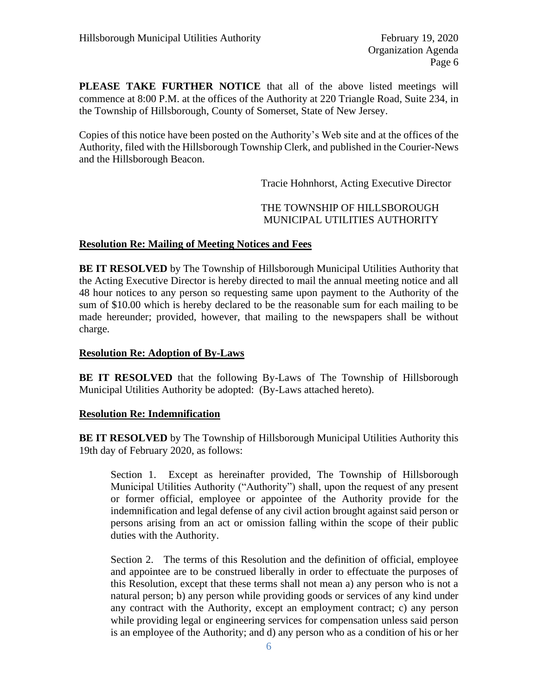**PLEASE TAKE FURTHER NOTICE** that all of the above listed meetings will commence at 8:00 P.M. at the offices of the Authority at 220 Triangle Road, Suite 234, in the Township of Hillsborough, County of Somerset, State of New Jersey.

Copies of this notice have been posted on the Authority's Web site and at the offices of the Authority, filed with the Hillsborough Township Clerk, and published in the Courier-News and the Hillsborough Beacon.

Tracie Hohnhorst, Acting Executive Director

# THE TOWNSHIP OF HILLSBOROUGH MUNICIPAL UTILITIES AUTHORITY

## **Resolution Re: Mailing of Meeting Notices and Fees**

**BE IT RESOLVED** by The Township of Hillsborough Municipal Utilities Authority that the Acting Executive Director is hereby directed to mail the annual meeting notice and all 48 hour notices to any person so requesting same upon payment to the Authority of the sum of \$10.00 which is hereby declared to be the reasonable sum for each mailing to be made hereunder; provided, however, that mailing to the newspapers shall be without charge.

## **Resolution Re: Adoption of By-Laws**

**BE IT RESOLVED** that the following By-Laws of The Township of Hillsborough Municipal Utilities Authority be adopted: (By-Laws attached hereto).

## **Resolution Re: Indemnification**

**BE IT RESOLVED** by The Township of Hillsborough Municipal Utilities Authority this 19th day of February 2020, as follows:

Section 1. Except as hereinafter provided, The Township of Hillsborough Municipal Utilities Authority ("Authority") shall, upon the request of any present or former official, employee or appointee of the Authority provide for the indemnification and legal defense of any civil action brought against said person or persons arising from an act or omission falling within the scope of their public duties with the Authority.

Section 2. The terms of this Resolution and the definition of official, employee and appointee are to be construed liberally in order to effectuate the purposes of this Resolution, except that these terms shall not mean a) any person who is not a natural person; b) any person while providing goods or services of any kind under any contract with the Authority, except an employment contract; c) any person while providing legal or engineering services for compensation unless said person is an employee of the Authority; and d) any person who as a condition of his or her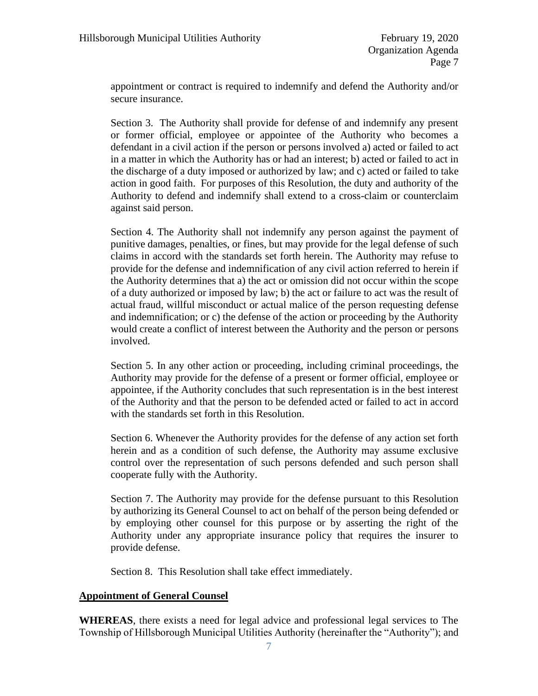appointment or contract is required to indemnify and defend the Authority and/or secure insurance.

Section 3. The Authority shall provide for defense of and indemnify any present or former official, employee or appointee of the Authority who becomes a defendant in a civil action if the person or persons involved a) acted or failed to act in a matter in which the Authority has or had an interest; b) acted or failed to act in the discharge of a duty imposed or authorized by law; and c) acted or failed to take action in good faith. For purposes of this Resolution, the duty and authority of the Authority to defend and indemnify shall extend to a cross-claim or counterclaim against said person.

Section 4. The Authority shall not indemnify any person against the payment of punitive damages, penalties, or fines, but may provide for the legal defense of such claims in accord with the standards set forth herein. The Authority may refuse to provide for the defense and indemnification of any civil action referred to herein if the Authority determines that a) the act or omission did not occur within the scope of a duty authorized or imposed by law; b) the act or failure to act was the result of actual fraud, willful misconduct or actual malice of the person requesting defense and indemnification; or c) the defense of the action or proceeding by the Authority would create a conflict of interest between the Authority and the person or persons involved.

Section 5. In any other action or proceeding, including criminal proceedings, the Authority may provide for the defense of a present or former official, employee or appointee, if the Authority concludes that such representation is in the best interest of the Authority and that the person to be defended acted or failed to act in accord with the standards set forth in this Resolution.

Section 6. Whenever the Authority provides for the defense of any action set forth herein and as a condition of such defense, the Authority may assume exclusive control over the representation of such persons defended and such person shall cooperate fully with the Authority.

Section 7. The Authority may provide for the defense pursuant to this Resolution by authorizing its General Counsel to act on behalf of the person being defended or by employing other counsel for this purpose or by asserting the right of the Authority under any appropriate insurance policy that requires the insurer to provide defense.

Section 8. This Resolution shall take effect immediately.

## **Appointment of General Counsel**

**WHEREAS**, there exists a need for legal advice and professional legal services to The Township of Hillsborough Municipal Utilities Authority (hereinafter the "Authority"); and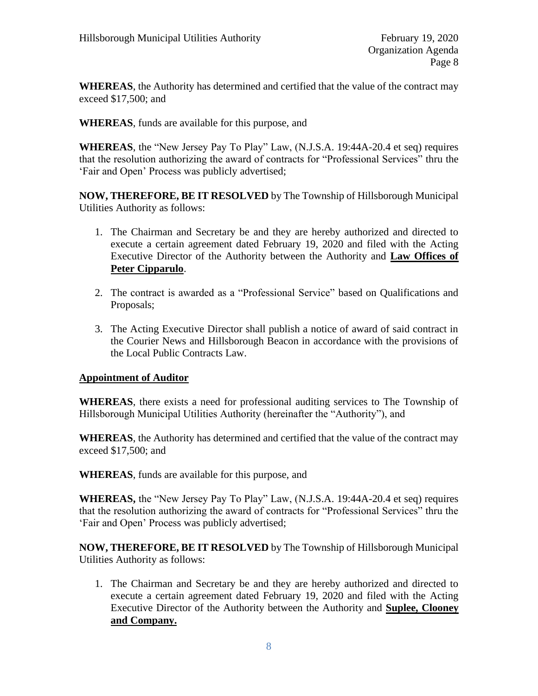**WHEREAS**, the Authority has determined and certified that the value of the contract may exceed \$17,500; and

**WHEREAS**, funds are available for this purpose, and

**WHEREAS**, the "New Jersey Pay To Play" Law, (N.J.S.A. 19:44A-20.4 et seq) requires that the resolution authorizing the award of contracts for "Professional Services" thru the 'Fair and Open' Process was publicly advertised;

**NOW, THEREFORE, BE IT RESOLVED** by The Township of Hillsborough Municipal Utilities Authority as follows:

- 1. The Chairman and Secretary be and they are hereby authorized and directed to execute a certain agreement dated February 19, 2020 and filed with the Acting Executive Director of the Authority between the Authority and **Law Offices of Peter Cipparulo**.
- 2. The contract is awarded as a "Professional Service" based on Qualifications and Proposals;
- 3. The Acting Executive Director shall publish a notice of award of said contract in the Courier News and Hillsborough Beacon in accordance with the provisions of the Local Public Contracts Law.

# **Appointment of Auditor**

**WHEREAS**, there exists a need for professional auditing services to The Township of Hillsborough Municipal Utilities Authority (hereinafter the "Authority"), and

**WHEREAS**, the Authority has determined and certified that the value of the contract may exceed \$17,500; and

**WHEREAS**, funds are available for this purpose, and

**WHEREAS,** the "New Jersey Pay To Play" Law, (N.J.S.A. 19:44A-20.4 et seq) requires that the resolution authorizing the award of contracts for "Professional Services" thru the 'Fair and Open' Process was publicly advertised;

**NOW, THEREFORE, BE IT RESOLVED** by The Township of Hillsborough Municipal Utilities Authority as follows:

1. The Chairman and Secretary be and they are hereby authorized and directed to execute a certain agreement dated February 19, 2020 and filed with the Acting Executive Director of the Authority between the Authority and **Suplee, Clooney and Company.**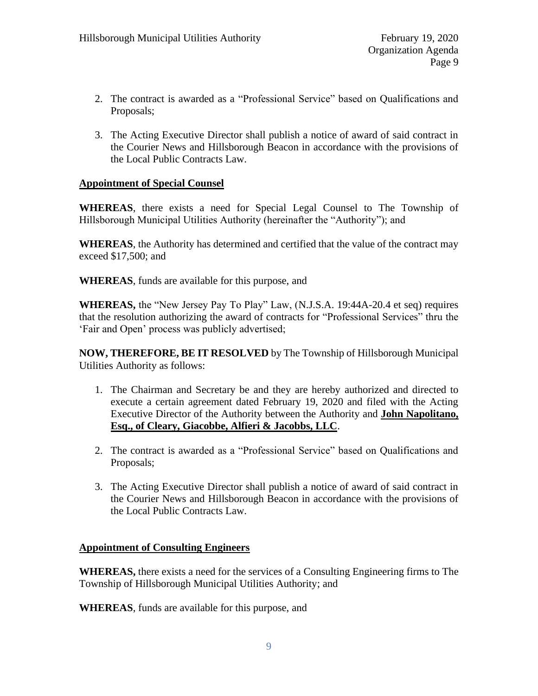- 2. The contract is awarded as a "Professional Service" based on Qualifications and Proposals;
- 3. The Acting Executive Director shall publish a notice of award of said contract in the Courier News and Hillsborough Beacon in accordance with the provisions of the Local Public Contracts Law.

# **Appointment of Special Counsel**

**WHEREAS**, there exists a need for Special Legal Counsel to The Township of Hillsborough Municipal Utilities Authority (hereinafter the "Authority"); and

**WHEREAS**, the Authority has determined and certified that the value of the contract may exceed \$17,500; and

**WHEREAS**, funds are available for this purpose, and

**WHEREAS,** the "New Jersey Pay To Play" Law, (N.J.S.A. 19:44A-20.4 et seq) requires that the resolution authorizing the award of contracts for "Professional Services" thru the 'Fair and Open' process was publicly advertised;

**NOW, THEREFORE, BE IT RESOLVED** by The Township of Hillsborough Municipal Utilities Authority as follows:

- 1. The Chairman and Secretary be and they are hereby authorized and directed to execute a certain agreement dated February 19, 2020 and filed with the Acting Executive Director of the Authority between the Authority and **John Napolitano, Esq., of Cleary, Giacobbe, Alfieri & Jacobbs, LLC**.
- 2. The contract is awarded as a "Professional Service" based on Qualifications and Proposals;
- 3. The Acting Executive Director shall publish a notice of award of said contract in the Courier News and Hillsborough Beacon in accordance with the provisions of the Local Public Contracts Law.

# **Appointment of Consulting Engineers**

**WHEREAS,** there exists a need for the services of a Consulting Engineering firms to The Township of Hillsborough Municipal Utilities Authority; and

**WHEREAS**, funds are available for this purpose, and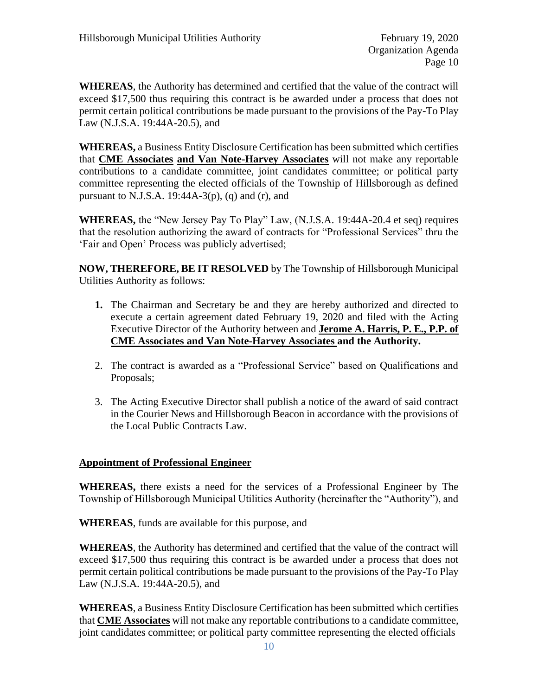**WHEREAS**, the Authority has determined and certified that the value of the contract will exceed \$17,500 thus requiring this contract is be awarded under a process that does not permit certain political contributions be made pursuant to the provisions of the Pay-To Play Law (N.J.S.A. 19:44A-20.5), and

**WHEREAS,** a Business Entity Disclosure Certification has been submitted which certifies that **CME Associates and Van Note-Harvey Associates** will not make any reportable contributions to a candidate committee, joint candidates committee; or political party committee representing the elected officials of the Township of Hillsborough as defined pursuant to N.J.S.A. 19:44A-3(p), (q) and (r), and

**WHEREAS,** the "New Jersey Pay To Play" Law, (N.J.S.A. 19:44A-20.4 et seq) requires that the resolution authorizing the award of contracts for "Professional Services" thru the 'Fair and Open' Process was publicly advertised;

**NOW, THEREFORE, BE IT RESOLVED** by The Township of Hillsborough Municipal Utilities Authority as follows:

- **1.** The Chairman and Secretary be and they are hereby authorized and directed to execute a certain agreement dated February 19, 2020 and filed with the Acting Executive Director of the Authority between and **Jerome A. Harris, P. E., P.P. of CME Associates and Van Note-Harvey Associates and the Authority.**
- 2. The contract is awarded as a "Professional Service" based on Qualifications and Proposals;
- 3. The Acting Executive Director shall publish a notice of the award of said contract in the Courier News and Hillsborough Beacon in accordance with the provisions of the Local Public Contracts Law.

# **Appointment of Professional Engineer**

**WHEREAS,** there exists a need for the services of a Professional Engineer by The Township of Hillsborough Municipal Utilities Authority (hereinafter the "Authority"), and

**WHEREAS**, funds are available for this purpose, and

**WHEREAS**, the Authority has determined and certified that the value of the contract will exceed \$17,500 thus requiring this contract is be awarded under a process that does not permit certain political contributions be made pursuant to the provisions of the Pay-To Play Law (N.J.S.A. 19:44A-20.5), and

**WHEREAS**, a Business Entity Disclosure Certification has been submitted which certifies that **CME Associates** will not make any reportable contributions to a candidate committee, joint candidates committee; or political party committee representing the elected officials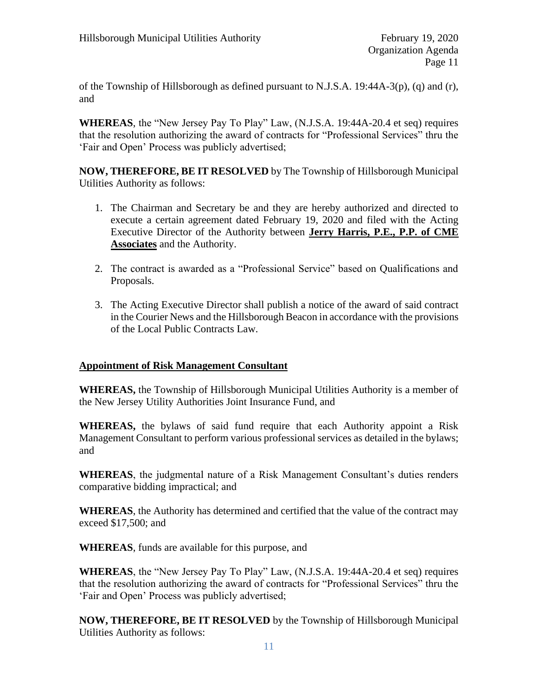of the Township of Hillsborough as defined pursuant to N.J.S.A. 19:44A-3(p), (q) and (r), and

**WHEREAS**, the "New Jersey Pay To Play" Law, (N.J.S.A. 19:44A-20.4 et seq) requires that the resolution authorizing the award of contracts for "Professional Services" thru the 'Fair and Open' Process was publicly advertised;

**NOW, THEREFORE, BE IT RESOLVED** by The Township of Hillsborough Municipal Utilities Authority as follows:

- 1. The Chairman and Secretary be and they are hereby authorized and directed to execute a certain agreement dated February 19, 2020 and filed with the Acting Executive Director of the Authority between **Jerry Harris, P.E., P.P. of CME Associates** and the Authority.
- 2. The contract is awarded as a "Professional Service" based on Qualifications and Proposals.
- 3. The Acting Executive Director shall publish a notice of the award of said contract in the Courier News and the Hillsborough Beacon in accordance with the provisions of the Local Public Contracts Law.

# **Appointment of Risk Management Consultant**

**WHEREAS,** the Township of Hillsborough Municipal Utilities Authority is a member of the New Jersey Utility Authorities Joint Insurance Fund, and

**WHEREAS,** the bylaws of said fund require that each Authority appoint a Risk Management Consultant to perform various professional services as detailed in the bylaws; and

**WHEREAS**, the judgmental nature of a Risk Management Consultant's duties renders comparative bidding impractical; and

**WHEREAS**, the Authority has determined and certified that the value of the contract may exceed \$17,500; and

**WHEREAS**, funds are available for this purpose, and

**WHEREAS**, the "New Jersey Pay To Play" Law, (N.J.S.A. 19:44A-20.4 et seq) requires that the resolution authorizing the award of contracts for "Professional Services" thru the 'Fair and Open' Process was publicly advertised;

**NOW, THEREFORE, BE IT RESOLVED** by the Township of Hillsborough Municipal Utilities Authority as follows: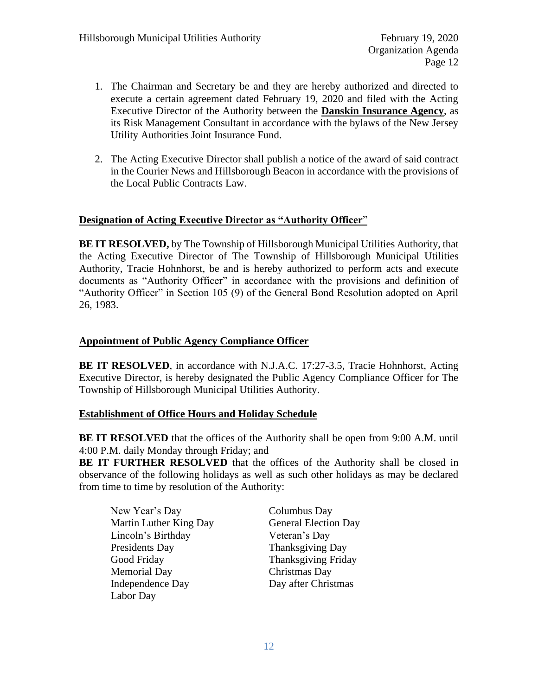- 1. The Chairman and Secretary be and they are hereby authorized and directed to execute a certain agreement dated February 19, 2020 and filed with the Acting Executive Director of the Authority between the **Danskin Insurance Agency**, as its Risk Management Consultant in accordance with the bylaws of the New Jersey Utility Authorities Joint Insurance Fund.
- 2. The Acting Executive Director shall publish a notice of the award of said contract in the Courier News and Hillsborough Beacon in accordance with the provisions of the Local Public Contracts Law.

# **Designation of Acting Executive Director as "Authority Officer**"

**BE IT RESOLVED,** by The Township of Hillsborough Municipal Utilities Authority, that the Acting Executive Director of The Township of Hillsborough Municipal Utilities Authority, Tracie Hohnhorst, be and is hereby authorized to perform acts and execute documents as "Authority Officer" in accordance with the provisions and definition of "Authority Officer" in Section 105 (9) of the General Bond Resolution adopted on April 26, 1983.

# **Appointment of Public Agency Compliance Officer**

**BE IT RESOLVED**, in accordance with N.J.A.C. 17:27-3.5, Tracie Hohnhorst, Acting Executive Director, is hereby designated the Public Agency Compliance Officer for The Township of Hillsborough Municipal Utilities Authority.

# **Establishment of Office Hours and Holiday Schedule**

**BE IT RESOLVED** that the offices of the Authority shall be open from 9:00 A.M. until 4:00 P.M. daily Monday through Friday; and

**BE IT FURTHER RESOLVED** that the offices of the Authority shall be closed in observance of the following holidays as well as such other holidays as may be declared from time to time by resolution of the Authority:

| New Year's Day          |
|-------------------------|
| Martin Luther King Day  |
| Lincoln's Birthday      |
| Presidents Day          |
| Good Friday             |
| <b>Memorial Day</b>     |
| <b>Independence Day</b> |
| Labor Day               |

Columbus Day General Election Day Veteran's Day Thanksgiving Day Thanksgiving Friday Christmas Day Day after Christmas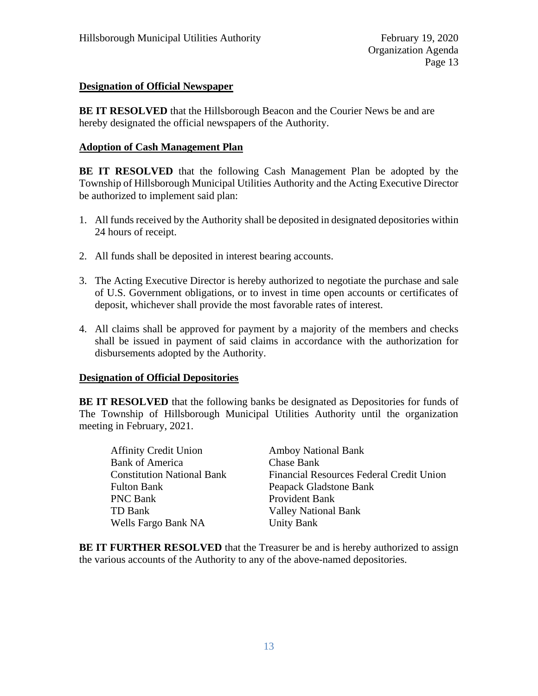# **Designation of Official Newspaper**

**BE IT RESOLVED** that the Hillsborough Beacon and the Courier News be and are hereby designated the official newspapers of the Authority.

# **Adoption of Cash Management Plan**

**BE IT RESOLVED** that the following Cash Management Plan be adopted by the Township of Hillsborough Municipal Utilities Authority and the Acting Executive Director be authorized to implement said plan:

- 1. All funds received by the Authority shall be deposited in designated depositories within 24 hours of receipt.
- 2. All funds shall be deposited in interest bearing accounts.
- 3. The Acting Executive Director is hereby authorized to negotiate the purchase and sale of U.S. Government obligations, or to invest in time open accounts or certificates of deposit, whichever shall provide the most favorable rates of interest.
- 4. All claims shall be approved for payment by a majority of the members and checks shall be issued in payment of said claims in accordance with the authorization for disbursements adopted by the Authority.

# **Designation of Official Depositories**

**BE IT RESOLVED** that the following banks be designated as Depositories for funds of The Township of Hillsborough Municipal Utilities Authority until the organization meeting in February, 2021.

| <b>Amboy National Bank</b>               |
|------------------------------------------|
| <b>Chase Bank</b>                        |
| Financial Resources Federal Credit Union |
| Peapack Gladstone Bank                   |
| Provident Bank                           |
| <b>Valley National Bank</b>              |
| <b>Unity Bank</b>                        |
|                                          |

**BE IT FURTHER RESOLVED** that the Treasurer be and is hereby authorized to assign the various accounts of the Authority to any of the above-named depositories.